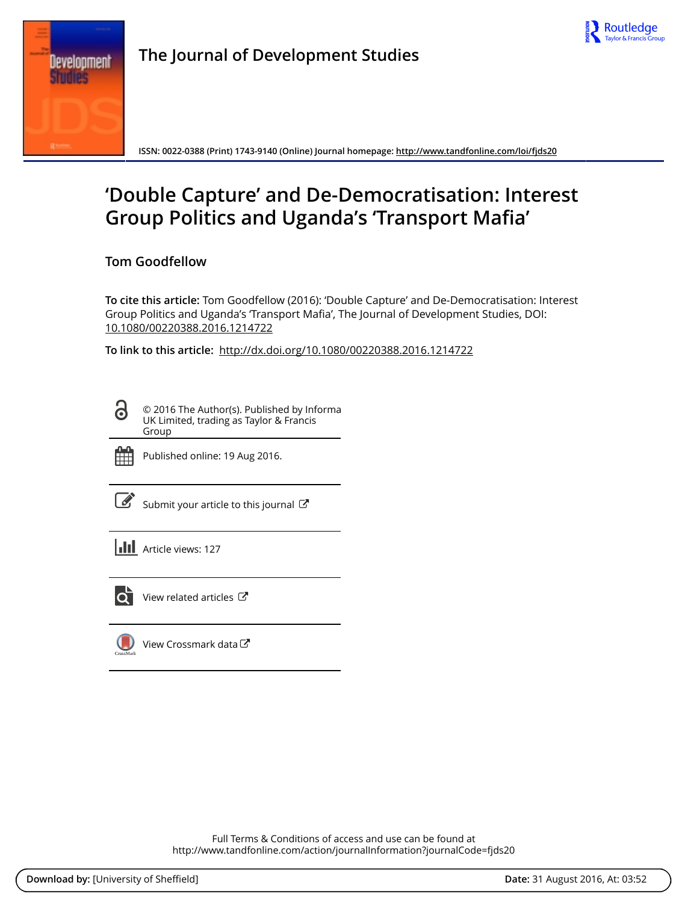



**The Journal of Development Studies**

**ISSN: 0022-0388 (Print) 1743-9140 (Online) Journal homepage:<http://www.tandfonline.com/loi/fjds20>**

# **'Double Capture' and De-Democratisation: Interest Group Politics and Uganda's 'Transport Mafia'**

**Tom Goodfellow**

**To cite this article:** Tom Goodfellow (2016): 'Double Capture' and De-Democratisation: Interest Group Politics and Uganda's 'Transport Mafia', The Journal of Development Studies, DOI: [10.1080/00220388.2016.1214722](http://www.tandfonline.com/action/showCitFormats?doi=10.1080/00220388.2016.1214722)

**To link to this article:** <http://dx.doi.org/10.1080/00220388.2016.1214722>

© 2016 The Author(s). Published by Informa UK Limited, trading as Taylor & Francis Group



<u>പ്ര</u>

Published online: 19 Aug 2016.

[Submit your article to this journal](http://www.tandfonline.com/action/authorSubmission?journalCode=fjds20&show=instructions)  $\mathbb{Z}$ 





[View related articles](http://www.tandfonline.com/doi/mlt/10.1080/00220388.2016.1214722) C

[View Crossmark data](http://crossmark.crossref.org/dialog/?doi=10.1080/00220388.2016.1214722&domain=pdf&date_stamp=2016-08-19)

Full Terms & Conditions of access and use can be found at <http://www.tandfonline.com/action/journalInformation?journalCode=fjds20>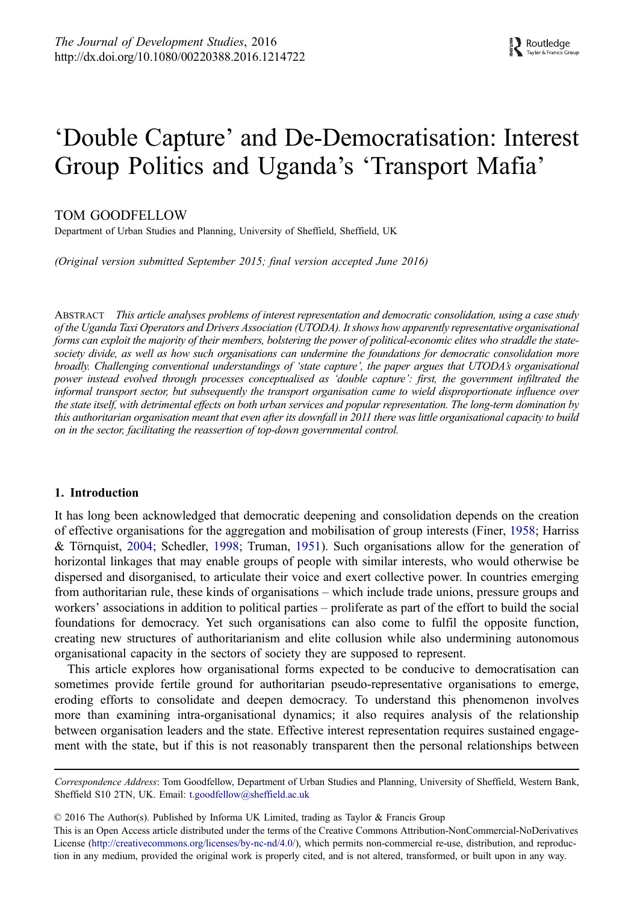## <span id="page-1-0"></span>'Double Capture' and De-Democratisation: Interest Group Politics and Uganda's 'Transport Mafia'

## TOM GOODFELLOW

Department of Urban Studies and Planning, University of Sheffield, Sheffield, UK

(Original version submitted September 2015; final version accepted June 2016)

ABSTRACT This article analyses problems of interest representation and democratic consolidation, using a case study of the Uganda Taxi Operators and Drivers Association (UTODA). It shows how apparently representative organisational forms can exploit the majority of their members, bolstering the power of political-economic elites who straddle the statesociety divide, as well as how such organisations can undermine the foundations for democratic consolidation more broadly. Challenging conventional understandings of 'state capture', the paper argues that UTODA's organisational power instead evolved through processes conceptualised as 'double capture': first, the government infiltrated the informal transport sector, but subsequently the transport organisation came to wield disproportionate influence over the state itself, with detrimental effects on both urban services and popular representation. The long-term domination by this authoritarian organisation meant that even after its downfall in 2011 there was little organisational capacity to build on in the sector, facilitating the reassertion of top-down governmental control.

#### 1. Introduction

It has long been acknowledged that democratic deepening and consolidation depends on the creation of effective organisations for the aggregation and mobilisation of group interests (Finer, [1958;](#page-14-0) Harriss & Törnquist, [2004;](#page-15-0) Schedler, [1998](#page-16-0); Truman, [1951\)](#page-16-0). Such organisations allow for the generation of horizontal linkages that may enable groups of people with similar interests, who would otherwise be dispersed and disorganised, to articulate their voice and exert collective power. In countries emerging from authoritarian rule, these kinds of organisations – which include trade unions, pressure groups and workers' associations in addition to political parties – proliferate as part of the effort to build the social foundations for democracy. Yet such organisations can also come to fulfil the opposite function, creating new structures of authoritarianism and elite collusion while also undermining autonomous organisational capacity in the sectors of society they are supposed to represent.

This article explores how organisational forms expected to be conducive to democratisation can sometimes provide fertile ground for authoritarian pseudo-representative organisations to emerge, eroding efforts to consolidate and deepen democracy. To understand this phenomenon involves more than examining intra-organisational dynamics; it also requires analysis of the relationship between organisation leaders and the state. Effective interest representation requires sustained engagement with the state, but if this is not reasonably transparent then the personal relationships between

© 2016 The Author(s). Published by Informa UK Limited, trading as Taylor & Francis Group

This is an Open Access article distributed under the terms of the Creative Commons Attribution-NonCommercial-NoDerivatives License (http://creativecommons.org/licenses/by-nc-nd/4.0/), which permits non-commercial re-use, distribution, and reproduction in any medium, provided the original work is properly cited, and is not altered, transformed, or built upon in any way.

Correspondence Address: Tom Goodfellow, Department of Urban Studies and Planning, University of Sheffield, Western Bank, Sheffield S10 2TN, UK. Email: t.goodfellow@sheffield.ac.uk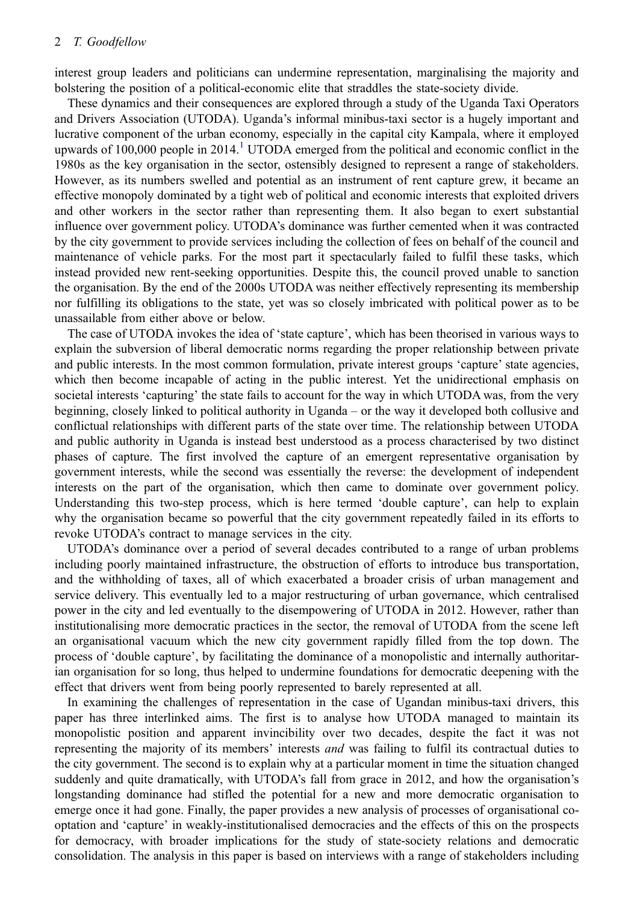interest group leaders and politicians can undermine representation, marginalising the majority and bolstering the position of a political-economic elite that straddles the state-society divide.

These dynamics and their consequences are explored through a study of the Uganda Taxi Operators and Drivers Association (UTODA). Uganda's informal minibus-taxi sector is a hugely important and lucrative component of the urban economy, especially in the capital city Kampala, where it employed upwards of [1](#page-13-0)00,000 people in 2014.<sup>1</sup> UTODA emerged from the political and economic conflict in the 1980s as the key organisation in the sector, ostensibly designed to represent a range of stakeholders. However, as its numbers swelled and potential as an instrument of rent capture grew, it became an effective monopoly dominated by a tight web of political and economic interests that exploited drivers and other workers in the sector rather than representing them. It also began to exert substantial influence over government policy. UTODA's dominance was further cemented when it was contracted by the city government to provide services including the collection of fees on behalf of the council and maintenance of vehicle parks. For the most part it spectacularly failed to fulfil these tasks, which instead provided new rent-seeking opportunities. Despite this, the council proved unable to sanction the organisation. By the end of the 2000s UTODA was neither effectively representing its membership nor fulfilling its obligations to the state, yet was so closely imbricated with political power as to be unassailable from either above or below.

The case of UTODA invokes the idea of 'state capture', which has been theorised in various ways to explain the subversion of liberal democratic norms regarding the proper relationship between private and public interests. In the most common formulation, private interest groups 'capture' state agencies, which then become incapable of acting in the public interest. Yet the unidirectional emphasis on societal interests 'capturing' the state fails to account for the way in which UTODA was, from the very beginning, closely linked to political authority in Uganda – or the way it developed both collusive and conflictual relationships with different parts of the state over time. The relationship between UTODA and public authority in Uganda is instead best understood as a process characterised by two distinct phases of capture. The first involved the capture of an emergent representative organisation by government interests, while the second was essentially the reverse: the development of independent interests on the part of the organisation, which then came to dominate over government policy. Understanding this two-step process, which is here termed 'double capture', can help to explain why the organisation became so powerful that the city government repeatedly failed in its efforts to revoke UTODA's contract to manage services in the city.

UTODA's dominance over a period of several decades contributed to a range of urban problems including poorly maintained infrastructure, the obstruction of efforts to introduce bus transportation, and the withholding of taxes, all of which exacerbated a broader crisis of urban management and service delivery. This eventually led to a major restructuring of urban governance, which centralised power in the city and led eventually to the disempowering of UTODA in 2012. However, rather than institutionalising more democratic practices in the sector, the removal of UTODA from the scene left an organisational vacuum which the new city government rapidly filled from the top down. The process of 'double capture', by facilitating the dominance of a monopolistic and internally authoritarian organisation for so long, thus helped to undermine foundations for democratic deepening with the effect that drivers went from being poorly represented to barely represented at all.

In examining the challenges of representation in the case of Ugandan minibus-taxi drivers, this paper has three interlinked aims. The first is to analyse how UTODA managed to maintain its monopolistic position and apparent invincibility over two decades, despite the fact it was not representing the majority of its members' interests *and* was failing to fulfil its contractual duties to the city government. The second is to explain why at a particular moment in time the situation changed suddenly and quite dramatically, with UTODA's fall from grace in 2012, and how the organisation's longstanding dominance had stifled the potential for a new and more democratic organisation to emerge once it had gone. Finally, the paper provides a new analysis of processes of organisational cooptation and 'capture' in weakly-institutionalised democracies and the effects of this on the prospects for democracy, with broader implications for the study of state-society relations and democratic consolidation. The analysis in this paper is based on interviews with a range of stakeholders including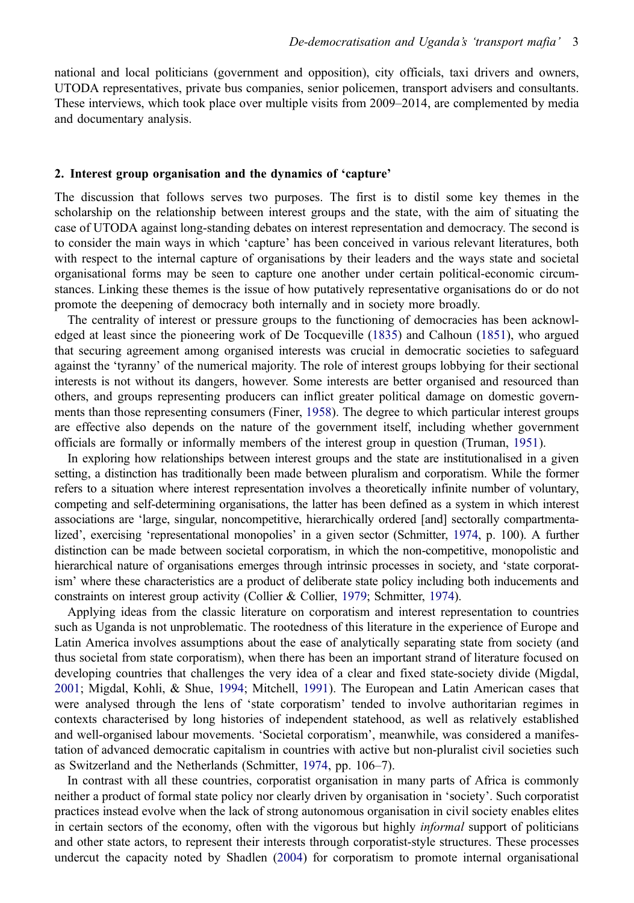<span id="page-3-0"></span>national and local politicians (government and opposition), city officials, taxi drivers and owners, UTODA representatives, private bus companies, senior policemen, transport advisers and consultants. These interviews, which took place over multiple visits from 2009–2014, are complemented by media and documentary analysis.

## 2. Interest group organisation and the dynamics of 'capture'

The discussion that follows serves two purposes. The first is to distil some key themes in the scholarship on the relationship between interest groups and the state, with the aim of situating the case of UTODA against long-standing debates on interest representation and democracy. The second is to consider the main ways in which 'capture' has been conceived in various relevant literatures, both with respect to the internal capture of organisations by their leaders and the ways state and societal organisational forms may be seen to capture one another under certain political-economic circumstances. Linking these themes is the issue of how putatively representative organisations do or do not promote the deepening of democracy both internally and in society more broadly.

The centrality of interest or pressure groups to the functioning of democracies has been acknowledged at least since the pioneering work of De Tocqueville ([1835\)](#page-14-0) and Calhoun [\(1851](#page-14-0)), who argued that securing agreement among organised interests was crucial in democratic societies to safeguard against the 'tyranny' of the numerical majority. The role of interest groups lobbying for their sectional interests is not without its dangers, however. Some interests are better organised and resourced than others, and groups representing producers can inflict greater political damage on domestic governments than those representing consumers (Finer, [1958](#page-14-0)). The degree to which particular interest groups are effective also depends on the nature of the government itself, including whether government officials are formally or informally members of the interest group in question (Truman, [1951](#page-16-0)).

In exploring how relationships between interest groups and the state are institutionalised in a given setting, a distinction has traditionally been made between pluralism and corporatism. While the former refers to a situation where interest representation involves a theoretically infinite number of voluntary, competing and self-determining organisations, the latter has been defined as a system in which interest associations are 'large, singular, noncompetitive, hierarchically ordered [and] sectorally compartmentalized', exercising 'representational monopolies' in a given sector (Schmitter, [1974](#page-16-0), p. 100). A further distinction can be made between societal corporatism, in which the non-competitive, monopolistic and hierarchical nature of organisations emerges through intrinsic processes in society, and 'state corporatism' where these characteristics are a product of deliberate state policy including both inducements and constraints on interest group activity (Collier & Collier, [1979](#page-14-0); Schmitter, [1974\)](#page-16-0).

Applying ideas from the classic literature on corporatism and interest representation to countries such as Uganda is not unproblematic. The rootedness of this literature in the experience of Europe and Latin America involves assumptions about the ease of analytically separating state from society (and thus societal from state corporatism), when there has been an important strand of literature focused on developing countries that challenges the very idea of a clear and fixed state-society divide (Migdal, [2001](#page-15-0); Migdal, Kohli, & Shue, [1994;](#page-15-0) Mitchell, [1991\)](#page-15-0). The European and Latin American cases that were analysed through the lens of 'state corporatism' tended to involve authoritarian regimes in contexts characterised by long histories of independent statehood, as well as relatively established and well-organised labour movements. 'Societal corporatism', meanwhile, was considered a manifestation of advanced democratic capitalism in countries with active but non-pluralist civil societies such as Switzerland and the Netherlands (Schmitter, [1974](#page-16-0), pp. 106–7).

In contrast with all these countries, corporatist organisation in many parts of Africa is commonly neither a product of formal state policy nor clearly driven by organisation in 'society'. Such corporatist practices instead evolve when the lack of strong autonomous organisation in civil society enables elites in certain sectors of the economy, often with the vigorous but highly *informal* support of politicians and other state actors, to represent their interests through corporatist-style structures. These processes undercut the capacity noted by Shadlen ([2004\)](#page-16-0) for corporatism to promote internal organisational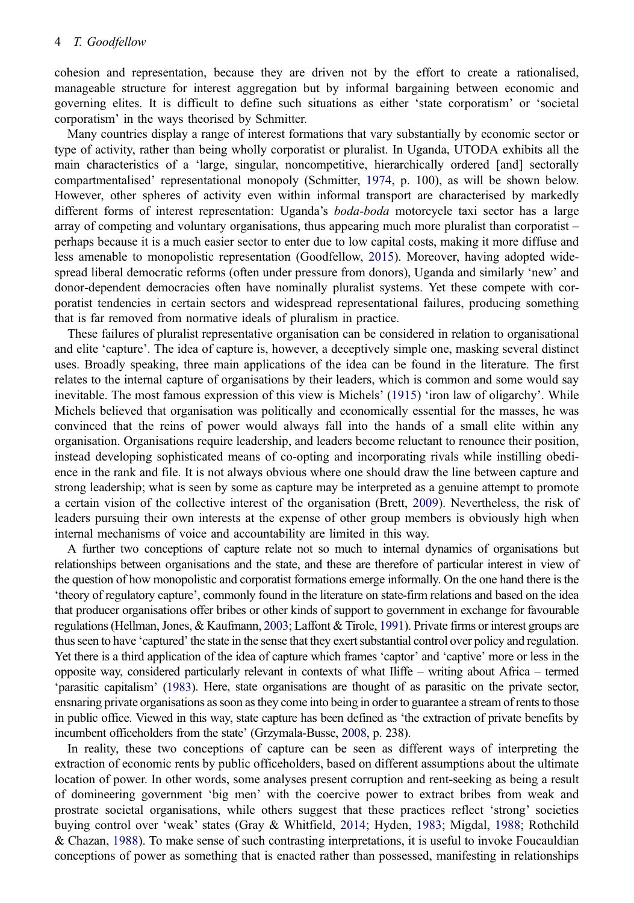<span id="page-4-0"></span>cohesion and representation, because they are driven not by the effort to create a rationalised, manageable structure for interest aggregation but by informal bargaining between economic and governing elites. It is difficult to define such situations as either 'state corporatism' or 'societal corporatism' in the ways theorised by Schmitter.

Many countries display a range of interest formations that vary substantially by economic sector or type of activity, rather than being wholly corporatist or pluralist. In Uganda, UTODA exhibits all the main characteristics of a 'large, singular, noncompetitive, hierarchically ordered [and] sectorally compartmentalised' representational monopoly (Schmitter, [1974,](#page-16-0) p. 100), as will be shown below. However, other spheres of activity even within informal transport are characterised by markedly different forms of interest representation: Uganda's *boda-boda* motorcycle taxi sector has a large array of competing and voluntary organisations, thus appearing much more pluralist than corporatist – perhaps because it is a much easier sector to enter due to low capital costs, making it more diffuse and less amenable to monopolistic representation (Goodfellow, [2015\)](#page-15-0). Moreover, having adopted widespread liberal democratic reforms (often under pressure from donors), Uganda and similarly 'new' and donor-dependent democracies often have nominally pluralist systems. Yet these compete with corporatist tendencies in certain sectors and widespread representational failures, producing something that is far removed from normative ideals of pluralism in practice.

These failures of pluralist representative organisation can be considered in relation to organisational and elite 'capture'. The idea of capture is, however, a deceptively simple one, masking several distinct uses. Broadly speaking, three main applications of the idea can be found in the literature. The first relates to the internal capture of organisations by their leaders, which is common and some would say inevitable. The most famous expression of this view is Michels' ([1915\)](#page-15-0) 'iron law of oligarchy'. While Michels believed that organisation was politically and economically essential for the masses, he was convinced that the reins of power would always fall into the hands of a small elite within any organisation. Organisations require leadership, and leaders become reluctant to renounce their position, instead developing sophisticated means of co-opting and incorporating rivals while instilling obedience in the rank and file. It is not always obvious where one should draw the line between capture and strong leadership; what is seen by some as capture may be interpreted as a genuine attempt to promote a certain vision of the collective interest of the organisation (Brett, [2009](#page-14-0)). Nevertheless, the risk of leaders pursuing their own interests at the expense of other group members is obviously high when internal mechanisms of voice and accountability are limited in this way.

A further two conceptions of capture relate not so much to internal dynamics of organisations but relationships between organisations and the state, and these are therefore of particular interest in view of the question of how monopolistic and corporatist formations emerge informally. On the one hand there is the 'theory of regulatory capture', commonly found in the literature on state-firm relations and based on the idea that producer organisations offer bribes or other kinds of support to government in exchange for favourable regulations (Hellman, Jones, & Kaufmann, [2003;](#page-15-0) Laffont & Tirole, [1991\)](#page-15-0). Private firms or interest groups are thus seen to have 'captured' the state in the sense that they exert substantial control over policy and regulation. Yet there is a third application of the idea of capture which frames 'captor' and 'captive' more or less in the opposite way, considered particularly relevant in contexts of what Iliffe – writing about Africa – termed 'parasitic capitalism' [\(1983\)](#page-15-0). Here, state organisations are thought of as parasitic on the private sector, ensnaring private organisations as soon as they come into being in order to guarantee a stream of rents to those in public office. Viewed in this way, state capture has been defined as 'the extraction of private benefits by incumbent officeholders from the state' (Grzymala-Busse, [2008](#page-15-0), p. 238).

In reality, these two conceptions of capture can be seen as different ways of interpreting the extraction of economic rents by public officeholders, based on different assumptions about the ultimate location of power. In other words, some analyses present corruption and rent-seeking as being a result of domineering government 'big men' with the coercive power to extract bribes from weak and prostrate societal organisations, while others suggest that these practices reflect 'strong' societies buying control over 'weak' states (Gray & Whitfield, [2014;](#page-15-0) Hyden, [1983;](#page-15-0) Migdal, [1988](#page-15-0); Rothchild & Chazan, [1988\)](#page-15-0). To make sense of such contrasting interpretations, it is useful to invoke Foucauldian conceptions of power as something that is enacted rather than possessed, manifesting in relationships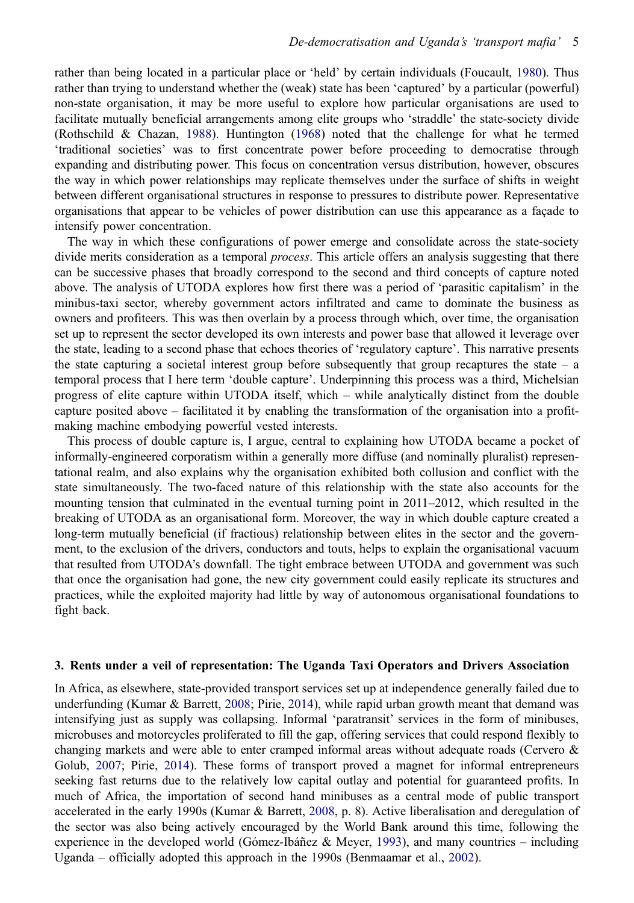<span id="page-5-0"></span>rather than being located in a particular place or 'held' by certain individuals (Foucault, [1980\)](#page-15-0). Thus rather than trying to understand whether the (weak) state has been 'captured' by a particular (powerful) non-state organisation, it may be more useful to explore how particular organisations are used to facilitate mutually beneficial arrangements among elite groups who 'straddle' the state-society divide (Rothschild & Chazan, [1988\)](#page-15-0). Huntington ([1968\)](#page-15-0) noted that the challenge for what he termed 'traditional societies' was to first concentrate power before proceeding to democratise through expanding and distributing power. This focus on concentration versus distribution, however, obscures the way in which power relationships may replicate themselves under the surface of shifts in weight between different organisational structures in response to pressures to distribute power. Representative organisations that appear to be vehicles of power distribution can use this appearance as a façade to intensify power concentration.

The way in which these configurations of power emerge and consolidate across the state-society divide merits consideration as a temporal *process*. This article offers an analysis suggesting that there can be successive phases that broadly correspond to the second and third concepts of capture noted above. The analysis of UTODA explores how first there was a period of 'parasitic capitalism' in the minibus-taxi sector, whereby government actors infiltrated and came to dominate the business as owners and profiteers. This was then overlain by a process through which, over time, the organisation set up to represent the sector developed its own interests and power base that allowed it leverage over the state, leading to a second phase that echoes theories of 'regulatory capture'. This narrative presents the state capturing a societal interest group before subsequently that group recaptures the state – a temporal process that I here term 'double capture'. Underpinning this process was a third, Michelsian progress of elite capture within UTODA itself, which – while analytically distinct from the double capture posited above – facilitated it by enabling the transformation of the organisation into a profitmaking machine embodying powerful vested interests.

This process of double capture is, I argue, central to explaining how UTODA became a pocket of informally-engineered corporatism within a generally more diffuse (and nominally pluralist) representational realm, and also explains why the organisation exhibited both collusion and conflict with the state simultaneously. The two-faced nature of this relationship with the state also accounts for the mounting tension that culminated in the eventual turning point in 2011–2012, which resulted in the breaking of UTODA as an organisational form. Moreover, the way in which double capture created a long-term mutually beneficial (if fractious) relationship between elites in the sector and the government, to the exclusion of the drivers, conductors and touts, helps to explain the organisational vacuum that resulted from UTODA's downfall. The tight embrace between UTODA and government was such that once the organisation had gone, the new city government could easily replicate its structures and practices, while the exploited majority had little by way of autonomous organisational foundations to fight back.

## 3. Rents under a veil of representation: The Uganda Taxi Operators and Drivers Association

In Africa, as elsewhere, state-provided transport services set up at independence generally failed due to underfunding (Kumar & Barrett, [2008](#page-15-0); Pirie, [2014](#page-15-0)), while rapid urban growth meant that demand was intensifying just as supply was collapsing. Informal 'paratransit' services in the form of minibuses, microbuses and motorcycles proliferated to fill the gap, offering services that could respond flexibly to changing markets and were able to enter cramped informal areas without adequate roads (Cervero & Golub, [2007;](#page-14-0) Pirie, [2014\)](#page-15-0). These forms of transport proved a magnet for informal entrepreneurs seeking fast returns due to the relatively low capital outlay and potential for guaranteed profits. In much of Africa, the importation of second hand minibuses as a central mode of public transport accelerated in the early 1990s (Kumar & Barrett, [2008,](#page-15-0) p. 8). Active liberalisation and deregulation of the sector was also being actively encouraged by the World Bank around this time, following the experience in the developed world (Gómez-Ibáñez & Meyer, [1993\)](#page-15-0), and many countries – including Uganda – officially adopted this approach in the 1990s (Benmaamar et al., [2002](#page-14-0)).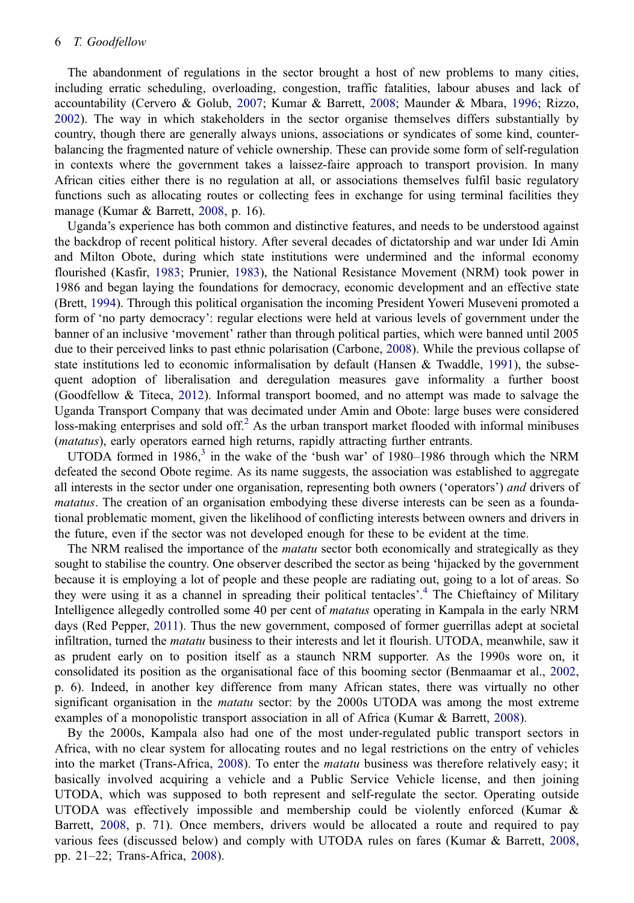<span id="page-6-0"></span>The abandonment of regulations in the sector brought a host of new problems to many cities, including erratic scheduling, overloading, congestion, traffic fatalities, labour abuses and lack of accountability (Cervero & Golub, [2007](#page-14-0); Kumar & Barrett, [2008](#page-15-0); Maunder & Mbara, [1996](#page-15-0); Rizzo, [2002](#page-15-0)). The way in which stakeholders in the sector organise themselves differs substantially by country, though there are generally always unions, associations or syndicates of some kind, counterbalancing the fragmented nature of vehicle ownership. These can provide some form of self-regulation in contexts where the government takes a laissez-faire approach to transport provision. In many African cities either there is no regulation at all, or associations themselves fulfil basic regulatory functions such as allocating routes or collecting fees in exchange for using terminal facilities they manage (Kumar & Barrett, [2008,](#page-15-0) p. 16).

Uganda's experience has both common and distinctive features, and needs to be understood against the backdrop of recent political history. After several decades of dictatorship and war under Idi Amin and Milton Obote, during which state institutions were undermined and the informal economy flourished (Kasfir, [1983](#page-15-0); Prunier, [1983](#page-15-0)), the National Resistance Movement (NRM) took power in 1986 and began laying the foundations for democracy, economic development and an effective state (Brett, [1994](#page-14-0)). Through this political organisation the incoming President Yoweri Museveni promoted a form of 'no party democracy': regular elections were held at various levels of government under the banner of an inclusive 'movement' rather than through political parties, which were banned until 2005 due to their perceived links to past ethnic polarisation (Carbone, [2008\)](#page-14-0). While the previous collapse of state institutions led to economic informalisation by default (Hansen & Twaddle, [1991\)](#page-15-0), the subsequent adoption of liberalisation and deregulation measures gave informality a further boost (Goodfellow & Titeca, [2012\)](#page-15-0). Informal transport boomed, and no attempt was made to salvage the Uganda Transport Company that was decimated under Amin and Obote: large buses were considered loss-making enterprises and sold off.<sup>2</sup> As the urban transport market flooded with informal minibuses (matatus), early operators earned high returns, rapidly attracting further entrants.

UTODA formed in  $1986<sup>3</sup>$  $1986<sup>3</sup>$  $1986<sup>3</sup>$  in the wake of the 'bush war' of  $1980-1986$  through which the NRM defeated the second Obote regime. As its name suggests, the association was established to aggregate all interests in the sector under one organisation, representing both owners ('operators') and drivers of matatus. The creation of an organisation embodying these diverse interests can be seen as a foundational problematic moment, given the likelihood of conflicting interests between owners and drivers in the future, even if the sector was not developed enough for these to be evident at the time.

The NRM realised the importance of the *matatu* sector both economically and strategically as they sought to stabilise the country. One observer described the sector as being 'hijacked by the government because it is employing a lot of people and these people are radiating out, going to a lot of areas. So they were using it as a channel in spreading their political tentacles'. [4](#page-13-0) The Chieftaincy of Military Intelligence allegedly controlled some 40 per cent of *matatus* operating in Kampala in the early NRM days (Red Pepper, [2011](#page-15-0)). Thus the new government, composed of former guerrillas adept at societal infiltration, turned the matatu business to their interests and let it flourish. UTODA, meanwhile, saw it as prudent early on to position itself as a staunch NRM supporter. As the 1990s wore on, it consolidated its position as the organisational face of this booming sector (Benmaamar et al., [2002](#page-14-0), p. 6). Indeed, in another key difference from many African states, there was virtually no other significant organisation in the *matatu* sector: by the 2000s UTODA was among the most extreme examples of a monopolistic transport association in all of Africa (Kumar & Barrett, [2008\)](#page-15-0).

By the 2000s, Kampala also had one of the most under-regulated public transport sectors in Africa, with no clear system for allocating routes and no legal restrictions on the entry of vehicles into the market (Trans-Africa, [2008\)](#page-16-0). To enter the *matatu* business was therefore relatively easy; it basically involved acquiring a vehicle and a Public Service Vehicle license, and then joining UTODA, which was supposed to both represent and self-regulate the sector. Operating outside UTODA was effectively impossible and membership could be violently enforced (Kumar  $\&$ Barrett, [2008](#page-15-0), p. 71). Once members, drivers would be allocated a route and required to pay various fees (discussed below) and comply with UTODA rules on fares (Kumar & Barrett, [2008](#page-15-0), pp. 21–22; Trans-Africa, [2008\)](#page-16-0).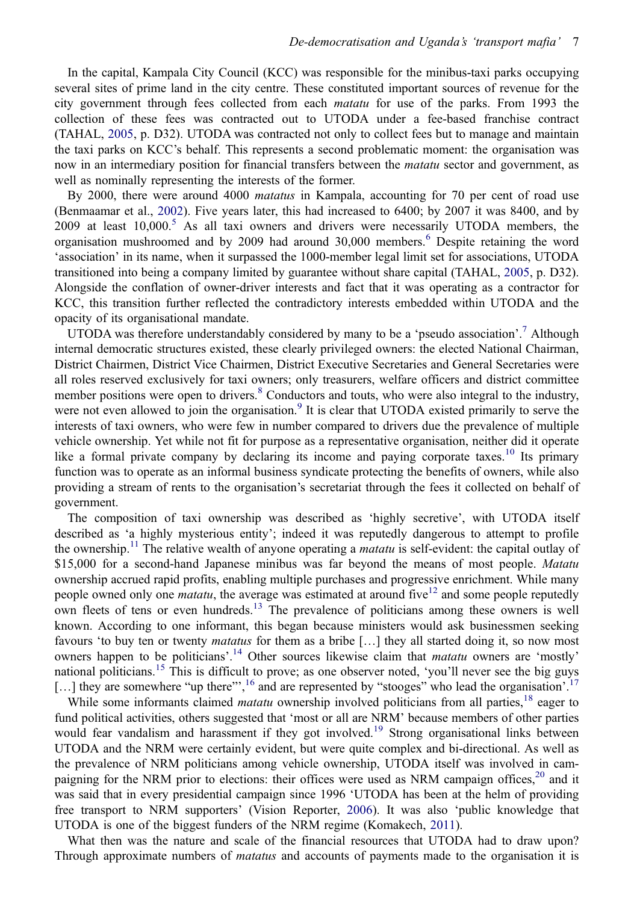<span id="page-7-0"></span>In the capital, Kampala City Council (KCC) was responsible for the minibus-taxi parks occupying several sites of prime land in the city centre. These constituted important sources of revenue for the city government through fees collected from each *matatu* for use of the parks. From 1993 the collection of these fees was contracted out to UTODA under a fee-based franchise contract (TAHAL, [2005,](#page-16-0) p. D32). UTODA was contracted not only to collect fees but to manage and maintain the taxi parks on KCC's behalf. This represents a second problematic moment: the organisation was now in an intermediary position for financial transfers between the *matatu* sector and government, as well as nominally representing the interests of the former.

By 2000, there were around 4000 *matatus* in Kampala, accounting for 70 per cent of road use (Benmaamar et al., [2002\)](#page-14-0). Five years later, this had increased to 6400; by 2007 it was 8400, and by 2009 at least  $10,000$ .<sup>[5](#page-13-0)</sup> As all taxi owners and drivers were necessarily UTODA members, the organisation mushroomed and by 2009 had around 30,000 members.<sup>[6](#page-13-0)</sup> Despite retaining the word 'association' in its name, when it surpassed the 1000-member legal limit set for associations, UTODA transitioned into being a company limited by guarantee without share capital (TAHAL, [2005](#page-16-0), p. D32). Alongside the conflation of owner-driver interests and fact that it was operating as a contractor for KCC, this transition further reflected the contradictory interests embedded within UTODA and the opacity of its organisational mandate.

UTODA was therefore understandably considered by many to be a 'pseudo association'.<sup>[7](#page-13-0)</sup> Although internal democratic structures existed, these clearly privileged owners: the elected National Chairman, District Chairmen, District Vice Chairmen, District Executive Secretaries and General Secretaries were all roles reserved exclusively for taxi owners; only treasurers, welfare officers and district committee member positions were open to drivers.<sup>[8](#page-13-0)</sup> Conductors and touts, who were also integral to the industry, were not even allowed to join the organisation.<sup>[9](#page-13-0)</sup> It is clear that UTODA existed primarily to serve the interests of taxi owners, who were few in number compared to drivers due the prevalence of multiple vehicle ownership. Yet while not fit for purpose as a representative organisation, neither did it operate like a formal private company by declaring its income and paying corporate taxes.<sup>[10](#page-14-0)</sup> Its primary function was to operate as an informal business syndicate protecting the benefits of owners, while also providing a stream of rents to the organisation's secretariat through the fees it collected on behalf of government.

The composition of taxi ownership was described as 'highly secretive', with UTODA itself described as 'a highly mysterious entity'; indeed it was reputedly dangerous to attempt to profile the ownership.<sup>[11](#page-14-0)</sup> The relative wealth of anyone operating a *matatu* is self-evident: the capital outlay of \$15,000 for a second-hand Japanese minibus was far beyond the means of most people. Matatu ownership accrued rapid profits, enabling multiple purchases and progressive enrichment. While many people owned only one *matatu*, the average was estimated at around five<sup>[12](#page-14-0)</sup> and some people reputedly own fleets of tens or even hundreds.<sup>[13](#page-14-0)</sup> The prevalence of politicians among these owners is well known. According to one informant, this began because ministers would ask businessmen seeking favours 'to buy ten or twenty *matatus* for them as a bribe [...] they all started doing it, so now most owners happen to be politicians'.<sup>[14](#page-14-0)</sup> Other sources likewise claim that *matatu* owners are 'mostly' national politicians.<sup>[15](#page-14-0)</sup> This is difficult to prove; as one observer noted, 'you'll never see the big guys [...] they are somewhere "up there"',<sup>[16](#page-14-0)</sup> and are represented by "stooges" who lead the organisation'.<sup>[17](#page-14-0)</sup>

While some informants claimed *matatu* ownership involved politicians from all parties,  $18$  eager to fund political activities, others suggested that 'most or all are NRM' because members of other parties would fear vandalism and harassment if they got involved.<sup>[19](#page-14-0)</sup> Strong organisational links between UTODA and the NRM were certainly evident, but were quite complex and bi-directional. As well as the prevalence of NRM politicians among vehicle ownership, UTODA itself was involved in campaigning for the NRM prior to elections: their offices were used as NRM campaign offices, $2^0$  and it was said that in every presidential campaign since 1996 'UTODA has been at the helm of providing free transport to NRM supporters' (Vision Reporter, [2006\)](#page-16-0). It was also 'public knowledge that UTODA is one of the biggest funders of the NRM regime (Komakech, [2011\)](#page-15-0).

What then was the nature and scale of the financial resources that UTODA had to draw upon? Through approximate numbers of *matatus* and accounts of payments made to the organisation it is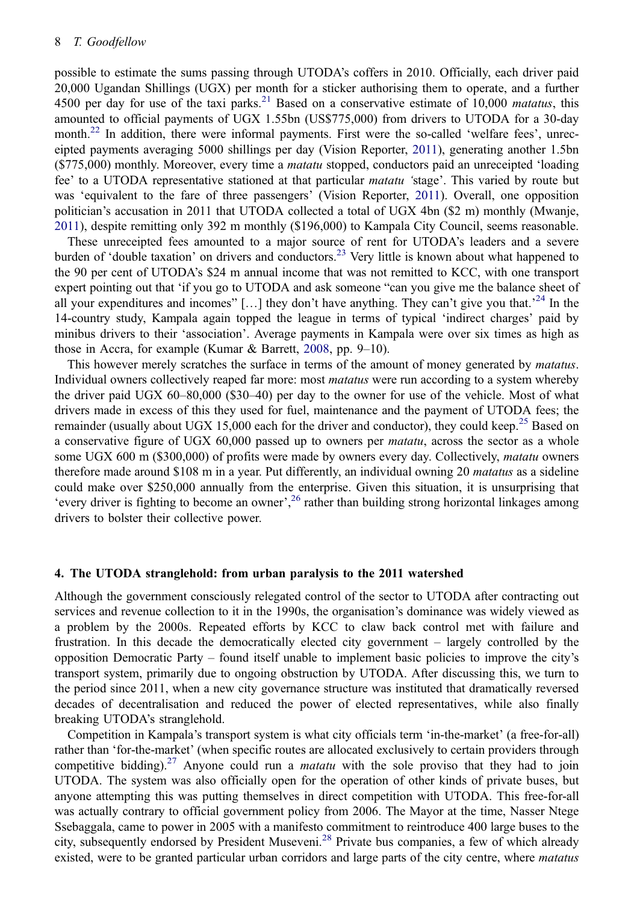<span id="page-8-0"></span>possible to estimate the sums passing through UTODA's coffers in 2010. Officially, each driver paid 20,000 Ugandan Shillings (UGX) per month for a sticker authorising them to operate, and a further 4500 per day for use of the taxi parks.<sup>[21](#page-14-0)</sup> Based on a conservative estimate of 10,000 *matatus*, this amounted to official payments of UGX 1.55bn (US\$775,000) from drivers to UTODA for a 30-day month.<sup>[22](#page-14-0)</sup> In addition, there were informal payments. First were the so-called 'welfare fees', unreceipted payments averaging 5000 shillings per day (Vision Reporter, [2011\)](#page-16-0), generating another 1.5bn (\$775,000) monthly. Moreover, every time a *matatu* stopped, conductors paid an unreceipted 'loading fee' to a UTODA representative stationed at that particular *matatu* 'stage'. This varied by route but was 'equivalent to the fare of three passengers' (Vision Reporter, [2011\)](#page-16-0). Overall, one opposition politician's accusation in 2011 that UTODA collected a total of UGX 4bn (\$2 m) monthly (Mwanje, [2011](#page-15-0)), despite remitting only 392 m monthly (\$196,000) to Kampala City Council, seems reasonable.

These unreceipted fees amounted to a major source of rent for UTODA's leaders and a severe burden of 'double taxation' on drivers and conductors.[23](#page-14-0) Very little is known about what happened to the 90 per cent of UTODA's \$24 m annual income that was not remitted to KCC, with one transport expert pointing out that 'if you go to UTODA and ask someone "can you give me the balance sheet of all your expenditures and incomes" [...] they don't have anything. They can't give you that.<sup>[24](#page-14-0)</sup> In the 14-country study, Kampala again topped the league in terms of typical 'indirect charges' paid by minibus drivers to their 'association'. Average payments in Kampala were over six times as high as those in Accra, for example (Kumar & Barrett, [2008](#page-15-0), pp. 9–10).

This however merely scratches the surface in terms of the amount of money generated by *matatus*. Individual owners collectively reaped far more: most *matatus* were run according to a system whereby the driver paid UGX 60–80,000 (\$30–40) per day to the owner for use of the vehicle. Most of what drivers made in excess of this they used for fuel, maintenance and the payment of UTODA fees; the remainder (usually about UGX 15,000 each for the driver and conductor), they could keep.<sup>[25](#page-14-0)</sup> Based on a conservative figure of UGX 60,000 passed up to owners per *matatu*, across the sector as a whole some UGX 600 m (\$300,000) of profits were made by owners every day. Collectively, *matatu* owners therefore made around \$108 m in a year. Put differently, an individual owning 20 *matatus* as a sideline could make over \$250,000 annually from the enterprise. Given this situation, it is unsurprising that 'every driver is fighting to become an owner',<sup>[26](#page-14-0)</sup> rather than building strong horizontal linkages among drivers to bolster their collective power.

## 4. The UTODA stranglehold: from urban paralysis to the 2011 watershed

Although the government consciously relegated control of the sector to UTODA after contracting out services and revenue collection to it in the 1990s, the organisation's dominance was widely viewed as a problem by the 2000s. Repeated efforts by KCC to claw back control met with failure and frustration. In this decade the democratically elected city government – largely controlled by the opposition Democratic Party – found itself unable to implement basic policies to improve the city's transport system, primarily due to ongoing obstruction by UTODA. After discussing this, we turn to the period since 2011, when a new city governance structure was instituted that dramatically reversed decades of decentralisation and reduced the power of elected representatives, while also finally breaking UTODA's stranglehold.

Competition in Kampala's transport system is what city officials term 'in-the-market' (a free-for-all) rather than 'for-the-market' (when specific routes are allocated exclusively to certain providers through competitive bidding).<sup>[27](#page-14-0)</sup> Anyone could run a *matatu* with the sole proviso that they had to join UTODA. The system was also officially open for the operation of other kinds of private buses, but anyone attempting this was putting themselves in direct competition with UTODA. This free-for-all was actually contrary to official government policy from 2006. The Mayor at the time, Nasser Ntege Ssebaggala, came to power in 2005 with a manifesto commitment to reintroduce 400 large buses to the city, subsequently endorsed by President Museveni.<sup>[28](#page-14-0)</sup> Private bus companies, a few of which already existed, were to be granted particular urban corridors and large parts of the city centre, where *matatus*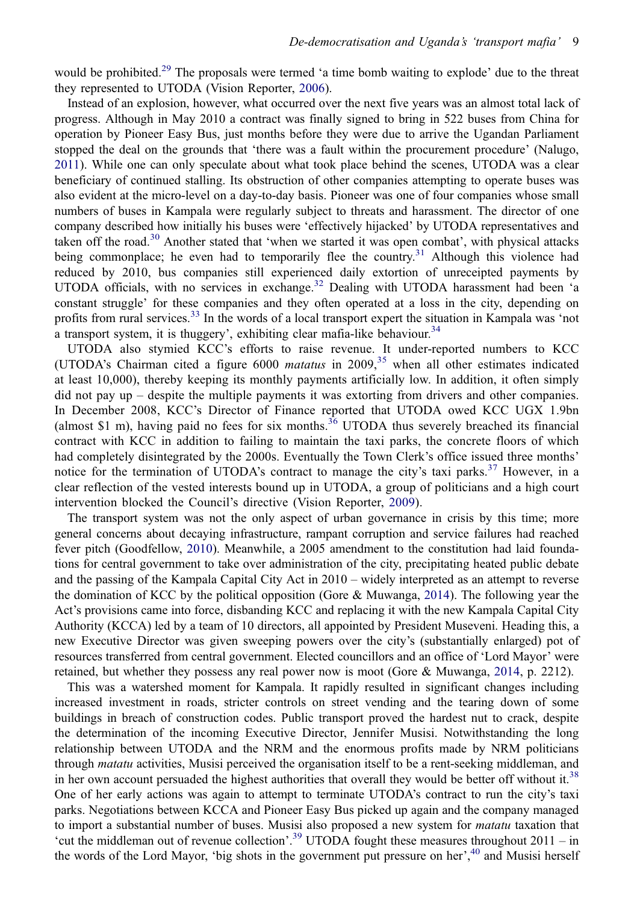<span id="page-9-0"></span>would be prohibited.<sup>[29](#page-14-0)</sup> The proposals were termed 'a time bomb waiting to explode' due to the threat they represented to UTODA (Vision Reporter, [2006\)](#page-16-0).

Instead of an explosion, however, what occurred over the next five years was an almost total lack of progress. Although in May 2010 a contract was finally signed to bring in 522 buses from China for operation by Pioneer Easy Bus, just months before they were due to arrive the Ugandan Parliament stopped the deal on the grounds that 'there was a fault within the procurement procedure' (Nalugo, [2011](#page-15-0)). While one can only speculate about what took place behind the scenes, UTODA was a clear beneficiary of continued stalling. Its obstruction of other companies attempting to operate buses was also evident at the micro-level on a day-to-day basis. Pioneer was one of four companies whose small numbers of buses in Kampala were regularly subject to threats and harassment. The director of one company described how initially his buses were 'effectively hijacked' by UTODA representatives and taken off the road.<sup>[30](#page-14-0)</sup> Another stated that 'when we started it was open combat', with physical attacks being commonplace; he even had to temporarily flee the country.<sup>[31](#page-14-0)</sup> Although this violence had reduced by 2010, bus companies still experienced daily extortion of unreceipted payments by UTODA officials, with no services in exchange.<sup>[32](#page-14-0)</sup> Dealing with UTODA harassment had been 'a constant struggle' for these companies and they often operated at a loss in the city, depending on profits from rural services.<sup>[33](#page-14-0)</sup> In the words of a local transport expert the situation in Kampala was 'not a transport system, it is thuggery', exhibiting clear mafia-like behaviour.<sup>[34](#page-14-0)</sup>

UTODA also stymied KCC's efforts to raise revenue. It under-reported numbers to KCC (UTODA's Chairman cited a figure 6000 *matatus* in  $2009$ ,<sup>[35](#page-14-0)</sup> when all other estimates indicated at least 10,000), thereby keeping its monthly payments artificially low. In addition, it often simply did not pay up – despite the multiple payments it was extorting from drivers and other companies. In December 2008, KCC's Director of Finance reported that UTODA owed KCC UGX 1.9bn (almost \$1 m), having paid no fees for six months.<sup>[36](#page-14-0)</sup> UTODA thus severely breached its financial contract with KCC in addition to failing to maintain the taxi parks, the concrete floors of which had completely disintegrated by the 2000s. Eventually the Town Clerk's office issued three months' notice for the termination of UTODA's contract to manage the city's taxi parks.<sup>[37](#page-14-0)</sup> However, in a clear reflection of the vested interests bound up in UTODA, a group of politicians and a high court intervention blocked the Council's directive (Vision Reporter, [2009](#page-16-0)).

The transport system was not the only aspect of urban governance in crisis by this time; more general concerns about decaying infrastructure, rampant corruption and service failures had reached fever pitch (Goodfellow, [2010](#page-15-0)). Meanwhile, a 2005 amendment to the constitution had laid foundations for central government to take over administration of the city, precipitating heated public debate and the passing of the Kampala Capital City Act in 2010 – widely interpreted as an attempt to reverse the domination of KCC by the political opposition (Gore & Muwanga, [2014](#page-15-0)). The following year the Act's provisions came into force, disbanding KCC and replacing it with the new Kampala Capital City Authority (KCCA) led by a team of 10 directors, all appointed by President Museveni. Heading this, a new Executive Director was given sweeping powers over the city's (substantially enlarged) pot of resources transferred from central government. Elected councillors and an office of 'Lord Mayor' were retained, but whether they possess any real power now is moot (Gore & Muwanga, [2014,](#page-15-0) p. 2212).

This was a watershed moment for Kampala. It rapidly resulted in significant changes including increased investment in roads, stricter controls on street vending and the tearing down of some buildings in breach of construction codes. Public transport proved the hardest nut to crack, despite the determination of the incoming Executive Director, Jennifer Musisi. Notwithstanding the long relationship between UTODA and the NRM and the enormous profits made by NRM politicians through *matatu* activities, Musisi perceived the organisation itself to be a rent-seeking middleman, and in her own account persuaded the highest authorities that overall they would be better off without it. $38$ One of her early actions was again to attempt to terminate UTODA's contract to run the city's taxi parks. Negotiations between KCCA and Pioneer Easy Bus picked up again and the company managed to import a substantial number of buses. Musisi also proposed a new system for *matatu* taxation that 'cut the middleman out of revenue collection'. [39](#page-14-0) UTODA fought these measures throughout 2011 – in the words of the Lord Mayor, 'big shots in the government put pressure on her',<sup>[40](#page-14-0)</sup> and Musisi herself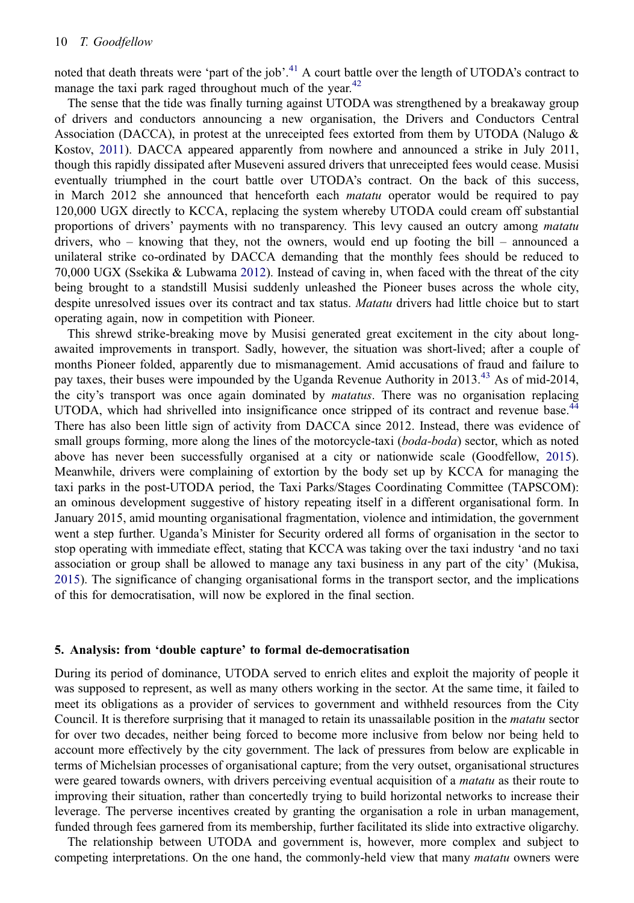<span id="page-10-0"></span>noted that death threats were 'part of the job'.<sup>[41](#page-14-0)</sup> A court battle over the length of UTODA's contract to manage the taxi park raged throughout much of the year.<sup>[42](#page-14-0)</sup>

The sense that the tide was finally turning against UTODA was strengthened by a breakaway group of drivers and conductors announcing a new organisation, the Drivers and Conductors Central Association (DACCA), in protest at the unreceipted fees extorted from them by UTODA (Nalugo  $\&$ Kostov, [2011](#page-15-0)). DACCA appeared apparently from nowhere and announced a strike in July 2011, though this rapidly dissipated after Museveni assured drivers that unreceipted fees would cease. Musisi eventually triumphed in the court battle over UTODA's contract. On the back of this success, in March 2012 she announced that henceforth each *matatu* operator would be required to pay 120,000 UGX directly to KCCA, replacing the system whereby UTODA could cream off substantial proportions of drivers' payments with no transparency. This levy caused an outcry among *matatu* drivers, who – knowing that they, not the owners, would end up footing the bill – announced a unilateral strike co-ordinated by DACCA demanding that the monthly fees should be reduced to 70,000 UGX (Ssekika & Lubwama [2012](#page-16-0)). Instead of caving in, when faced with the threat of the city being brought to a standstill Musisi suddenly unleashed the Pioneer buses across the whole city, despite unresolved issues over its contract and tax status. Matatu drivers had little choice but to start operating again, now in competition with Pioneer.

This shrewd strike-breaking move by Musisi generated great excitement in the city about longawaited improvements in transport. Sadly, however, the situation was short-lived; after a couple of months Pioneer folded, apparently due to mismanagement. Amid accusations of fraud and failure to pay taxes, their buses were impounded by the Uganda Revenue Authority in 2013.<sup>[43](#page-14-0)</sup> As of mid-2014, the city's transport was once again dominated by *matatus*. There was no organisation replacing UTODA, which had shrivelled into insignificance once stripped of its contract and revenue base.<sup>[44](#page-14-0)</sup> There has also been little sign of activity from DACCA since 2012. Instead, there was evidence of small groups forming, more along the lines of the motorcycle-taxi (boda-boda) sector, which as noted above has never been successfully organised at a city or nationwide scale (Goodfellow, [2015\)](#page-15-0). Meanwhile, drivers were complaining of extortion by the body set up by KCCA for managing the taxi parks in the post-UTODA period, the Taxi Parks/Stages Coordinating Committee (TAPSCOM): an ominous development suggestive of history repeating itself in a different organisational form. In January 2015, amid mounting organisational fragmentation, violence and intimidation, the government went a step further. Uganda's Minister for Security ordered all forms of organisation in the sector to stop operating with immediate effect, stating that KCCA was taking over the taxi industry 'and no taxi association or group shall be allowed to manage any taxi business in any part of the city' (Mukisa, [2015](#page-15-0)). The significance of changing organisational forms in the transport sector, and the implications of this for democratisation, will now be explored in the final section.

## 5. Analysis: from 'double capture' to formal de-democratisation

During its period of dominance, UTODA served to enrich elites and exploit the majority of people it was supposed to represent, as well as many others working in the sector. At the same time, it failed to meet its obligations as a provider of services to government and withheld resources from the City Council. It is therefore surprising that it managed to retain its unassailable position in the matatu sector for over two decades, neither being forced to become more inclusive from below nor being held to account more effectively by the city government. The lack of pressures from below are explicable in terms of Michelsian processes of organisational capture; from the very outset, organisational structures were geared towards owners, with drivers perceiving eventual acquisition of a *matatu* as their route to improving their situation, rather than concertedly trying to build horizontal networks to increase their leverage. The perverse incentives created by granting the organisation a role in urban management, funded through fees garnered from its membership, further facilitated its slide into extractive oligarchy.

The relationship between UTODA and government is, however, more complex and subject to competing interpretations. On the one hand, the commonly-held view that many *matatu* owners were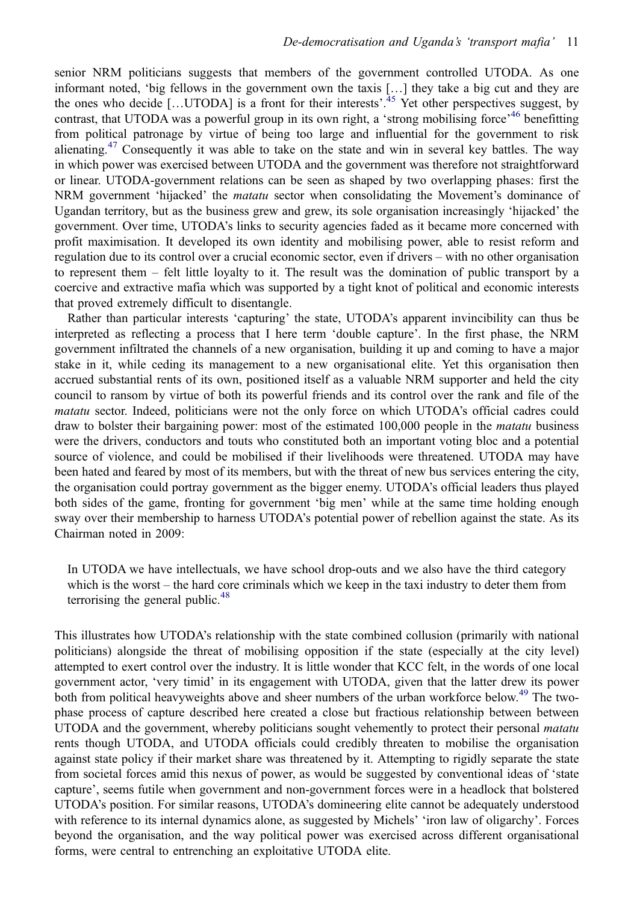senior NRM politicians suggests that members of the government controlled UTODA. As one informant noted, 'big fellows in the government own the taxis […] they take a big cut and they are the ones who decide [...UTODA] is a front for their interests'.<sup>[45](#page-14-0)</sup> Yet other perspectives suggest, by contrast, that UTODA was a powerful group in its own right, a 'strong mobilising force'<sup>[46](#page-14-0)</sup> benefitting from political patronage by virtue of being too large and influential for the government to risk alienating.<sup>[47](#page-14-0)</sup> Consequently it was able to take on the state and win in several key battles. The way in which power was exercised between UTODA and the government was therefore not straightforward or linear. UTODA-government relations can be seen as shaped by two overlapping phases: first the NRM government 'hijacked' the *matatu* sector when consolidating the Movement's dominance of Ugandan territory, but as the business grew and grew, its sole organisation increasingly 'hijacked' the government. Over time, UTODA's links to security agencies faded as it became more concerned with profit maximisation. It developed its own identity and mobilising power, able to resist reform and regulation due to its control over a crucial economic sector, even if drivers – with no other organisation to represent them – felt little loyalty to it. The result was the domination of public transport by a coercive and extractive mafia which was supported by a tight knot of political and economic interests that proved extremely difficult to disentangle.

Rather than particular interests 'capturing' the state, UTODA's apparent invincibility can thus be interpreted as reflecting a process that I here term 'double capture'. In the first phase, the NRM government infiltrated the channels of a new organisation, building it up and coming to have a major stake in it, while ceding its management to a new organisational elite. Yet this organisation then accrued substantial rents of its own, positioned itself as a valuable NRM supporter and held the city council to ransom by virtue of both its powerful friends and its control over the rank and file of the matatu sector. Indeed, politicians were not the only force on which UTODA's official cadres could draw to bolster their bargaining power: most of the estimated 100,000 people in the *matatu* business were the drivers, conductors and touts who constituted both an important voting bloc and a potential source of violence, and could be mobilised if their livelihoods were threatened. UTODA may have been hated and feared by most of its members, but with the threat of new bus services entering the city, the organisation could portray government as the bigger enemy. UTODA's official leaders thus played both sides of the game, fronting for government 'big men' while at the same time holding enough sway over their membership to harness UTODA's potential power of rebellion against the state. As its Chairman noted in 2009:

In UTODA we have intellectuals, we have school drop-outs and we also have the third category which is the worst – the hard core criminals which we keep in the taxi industry to deter them from terrorising the general public.<sup>[48](#page-14-0)</sup>

This illustrates how UTODA's relationship with the state combined collusion (primarily with national politicians) alongside the threat of mobilising opposition if the state (especially at the city level) attempted to exert control over the industry. It is little wonder that KCC felt, in the words of one local government actor, 'very timid' in its engagement with UTODA, given that the latter drew its power both from political heavyweights above and sheer numbers of the urban workforce below.<sup>[49](#page-14-0)</sup> The twophase process of capture described here created a close but fractious relationship between between UTODA and the government, whereby politicians sought vehemently to protect their personal *matatu* rents though UTODA, and UTODA officials could credibly threaten to mobilise the organisation against state policy if their market share was threatened by it. Attempting to rigidly separate the state from societal forces amid this nexus of power, as would be suggested by conventional ideas of 'state capture', seems futile when government and non-government forces were in a headlock that bolstered UTODA's position. For similar reasons, UTODA's domineering elite cannot be adequately understood with reference to its internal dynamics alone, as suggested by Michels' 'iron law of oligarchy'. Forces beyond the organisation, and the way political power was exercised across different organisational forms, were central to entrenching an exploitative UTODA elite.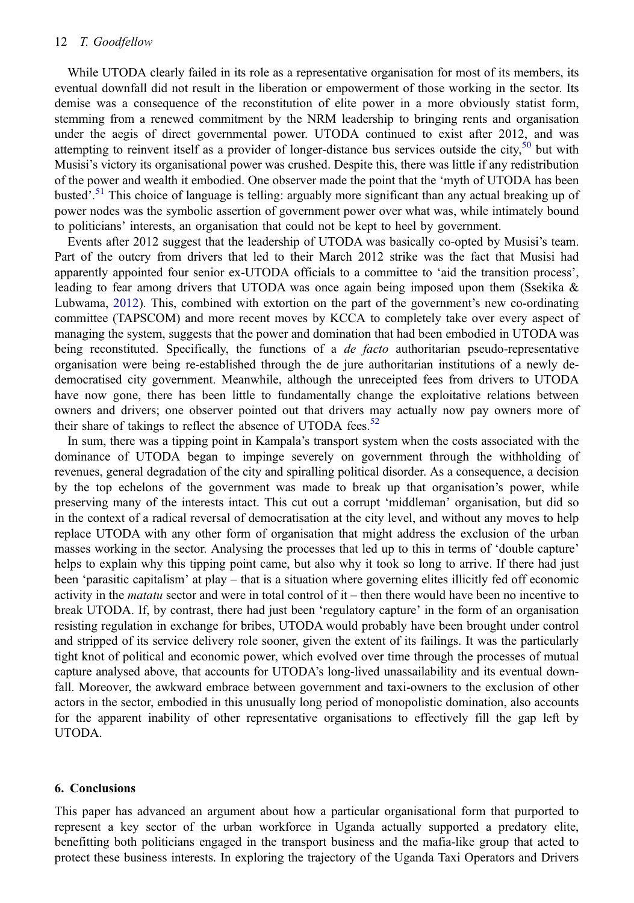While UTODA clearly failed in its role as a representative organisation for most of its members, its eventual downfall did not result in the liberation or empowerment of those working in the sector. Its demise was a consequence of the reconstitution of elite power in a more obviously statist form, stemming from a renewed commitment by the NRM leadership to bringing rents and organisation under the aegis of direct governmental power. UTODA continued to exist after 2012, and was attempting to reinvent itself as a provider of longer-distance bus services outside the city,<sup>[50](#page-14-0)</sup> but with Musisi's victory its organisational power was crushed. Despite this, there was little if any redistribution of the power and wealth it embodied. One observer made the point that the 'myth of UTODA has been busted<sup>5</sup>.<sup>[51](#page-14-0)</sup> This choice of language is telling: arguably more significant than any actual breaking up of power nodes was the symbolic assertion of government power over what was, while intimately bound to politicians' interests, an organisation that could not be kept to heel by government.

Events after 2012 suggest that the leadership of UTODA was basically co-opted by Musisi's team. Part of the outcry from drivers that led to their March 2012 strike was the fact that Musisi had apparently appointed four senior ex-UTODA officials to a committee to 'aid the transition process', leading to fear among drivers that UTODA was once again being imposed upon them (Ssekika  $\&$ Lubwama, [2012](#page-16-0)). This, combined with extortion on the part of the government's new co-ordinating committee (TAPSCOM) and more recent moves by KCCA to completely take over every aspect of managing the system, suggests that the power and domination that had been embodied in UTODA was being reconstituted. Specifically, the functions of a *de facto* authoritarian pseudo-representative organisation were being re-established through the de jure authoritarian institutions of a newly dedemocratised city government. Meanwhile, although the unreceipted fees from drivers to UTODA have now gone, there has been little to fundamentally change the exploitative relations between owners and drivers; one observer pointed out that drivers may actually now pay owners more of their share of takings to reflect the absence of UTODA fees. $52$ 

In sum, there was a tipping point in Kampala's transport system when the costs associated with the dominance of UTODA began to impinge severely on government through the withholding of revenues, general degradation of the city and spiralling political disorder. As a consequence, a decision by the top echelons of the government was made to break up that organisation's power, while preserving many of the interests intact. This cut out a corrupt 'middleman' organisation, but did so in the context of a radical reversal of democratisation at the city level, and without any moves to help replace UTODA with any other form of organisation that might address the exclusion of the urban masses working in the sector. Analysing the processes that led up to this in terms of 'double capture' helps to explain why this tipping point came, but also why it took so long to arrive. If there had just been 'parasitic capitalism' at play – that is a situation where governing elites illicitly fed off economic activity in the *matatu* sector and were in total control of it – then there would have been no incentive to break UTODA. If, by contrast, there had just been 'regulatory capture' in the form of an organisation resisting regulation in exchange for bribes, UTODA would probably have been brought under control and stripped of its service delivery role sooner, given the extent of its failings. It was the particularly tight knot of political and economic power, which evolved over time through the processes of mutual capture analysed above, that accounts for UTODA's long-lived unassailability and its eventual downfall. Moreover, the awkward embrace between government and taxi-owners to the exclusion of other actors in the sector, embodied in this unusually long period of monopolistic domination, also accounts for the apparent inability of other representative organisations to effectively fill the gap left by UTODA.

#### 6. Conclusions

This paper has advanced an argument about how a particular organisational form that purported to represent a key sector of the urban workforce in Uganda actually supported a predatory elite, benefitting both politicians engaged in the transport business and the mafia-like group that acted to protect these business interests. In exploring the trajectory of the Uganda Taxi Operators and Drivers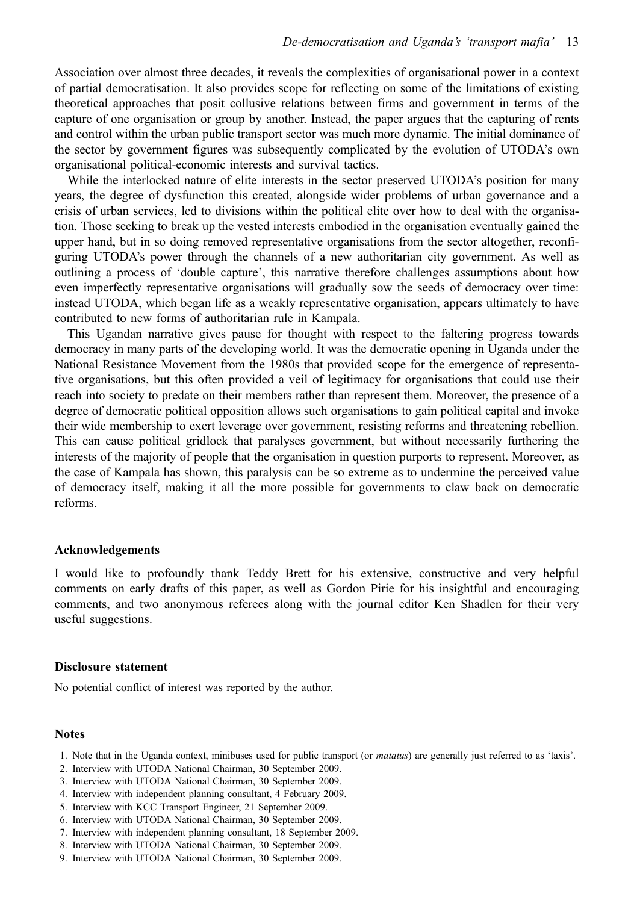<span id="page-13-0"></span>Association over almost three decades, it reveals the complexities of organisational power in a context of partial democratisation. It also provides scope for reflecting on some of the limitations of existing theoretical approaches that posit collusive relations between firms and government in terms of the capture of one organisation or group by another. Instead, the paper argues that the capturing of rents and control within the urban public transport sector was much more dynamic. The initial dominance of the sector by government figures was subsequently complicated by the evolution of UTODA's own organisational political-economic interests and survival tactics.

While the interlocked nature of elite interests in the sector preserved UTODA's position for many years, the degree of dysfunction this created, alongside wider problems of urban governance and a crisis of urban services, led to divisions within the political elite over how to deal with the organisation. Those seeking to break up the vested interests embodied in the organisation eventually gained the upper hand, but in so doing removed representative organisations from the sector altogether, reconfiguring UTODA's power through the channels of a new authoritarian city government. As well as outlining a process of 'double capture', this narrative therefore challenges assumptions about how even imperfectly representative organisations will gradually sow the seeds of democracy over time: instead UTODA, which began life as a weakly representative organisation, appears ultimately to have contributed to new forms of authoritarian rule in Kampala.

This Ugandan narrative gives pause for thought with respect to the faltering progress towards democracy in many parts of the developing world. It was the democratic opening in Uganda under the National Resistance Movement from the 1980s that provided scope for the emergence of representative organisations, but this often provided a veil of legitimacy for organisations that could use their reach into society to predate on their members rather than represent them. Moreover, the presence of a degree of democratic political opposition allows such organisations to gain political capital and invoke their wide membership to exert leverage over government, resisting reforms and threatening rebellion. This can cause political gridlock that paralyses government, but without necessarily furthering the interests of the majority of people that the organisation in question purports to represent. Moreover, as the case of Kampala has shown, this paralysis can be so extreme as to undermine the perceived value of democracy itself, making it all the more possible for governments to claw back on democratic reforms.

## Acknowledgements

I would like to profoundly thank Teddy Brett for his extensive, constructive and very helpful comments on early drafts of this paper, as well as Gordon Pirie for his insightful and encouraging comments, and two anonymous referees along with the journal editor Ken Shadlen for their very useful suggestions.

## Disclosure statement

No potential conflict of interest was reported by the author.

#### **Notes**

- 1. Note that in the Uganda context, minibuses used for public transport (or matatus) are generally just referred to as 'taxis'.
- 2. Interview with UTODA National Chairman, 30 September 2009.
- 3. Interview with UTODA National Chairman, 30 September 2009.
- 4. Interview with independent planning consultant, 4 February 2009.
- 5. Interview with KCC Transport Engineer, 21 September 2009.
- 6. Interview with UTODA National Chairman, 30 September 2009.
- 7. Interview with independent planning consultant, 18 September 2009.
- 8. Interview with UTODA National Chairman, 30 September 2009.
- 9. Interview with UTODA National Chairman, 30 September 2009.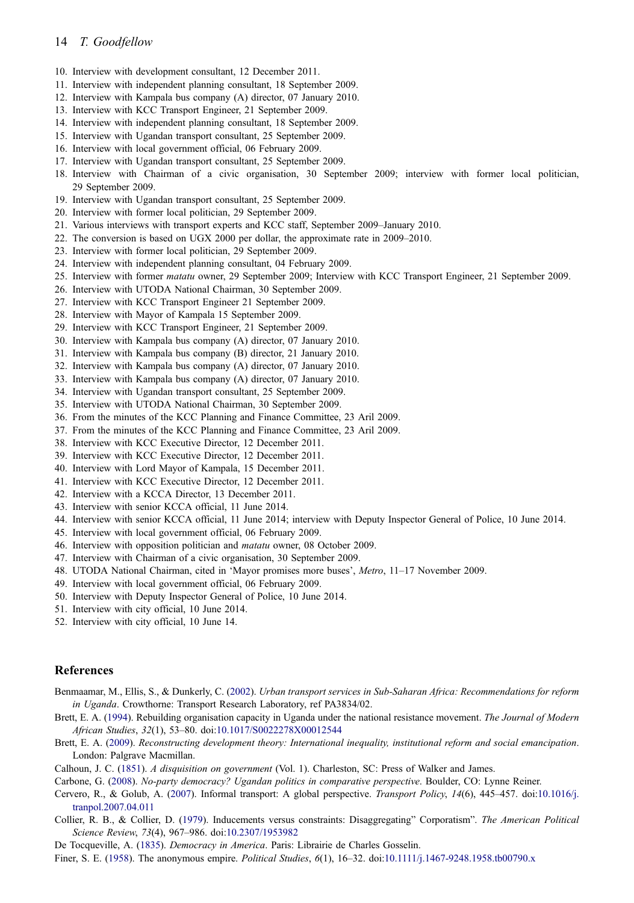- <span id="page-14-0"></span>10. Interview with development consultant, 12 December 2011.
- 11. Interview with independent planning consultant, 18 September 2009.
- 12. Interview with Kampala bus company (A) director, 07 January 2010.
- 13. Interview with KCC Transport Engineer, 21 September 2009.
- 14. Interview with independent planning consultant, 18 September 2009.
- 15. Interview with Ugandan transport consultant, 25 September 2009.
- 16. Interview with local government official, 06 February 2009.
- 17. Interview with Ugandan transport consultant, 25 September 2009.
- 18. Interview with Chairman of a civic organisation, 30 September 2009; interview with former local politician, 29 September 2009.
- 19. Interview with Ugandan transport consultant, 25 September 2009.
- 20. Interview with former local politician, 29 September 2009.
- 21. Various interviews with transport experts and KCC staff, September 2009–January 2010.
- 22. The conversion is based on UGX 2000 per dollar, the approximate rate in 2009–2010.
- 23. Interview with former local politician, 29 September 2009.
- 24. Interview with independent planning consultant, 04 February 2009.
- 25. Interview with former matatu owner, 29 September 2009; Interview with KCC Transport Engineer, 21 September 2009.
- 26. Interview with UTODA National Chairman, 30 September 2009.
- 27. Interview with KCC Transport Engineer 21 September 2009.
- 28. Interview with Mayor of Kampala 15 September 2009.
- 29. Interview with KCC Transport Engineer, 21 September 2009.
- 30. Interview with Kampala bus company (A) director, 07 January 2010.
- 31. Interview with Kampala bus company (B) director, 21 January 2010.
- 32. Interview with Kampala bus company (A) director, 07 January 2010.
- 33. Interview with Kampala bus company (A) director, 07 January 2010.
- 34. Interview with Ugandan transport consultant, 25 September 2009.
- 35. Interview with UTODA National Chairman, 30 September 2009.
- 36. From the minutes of the KCC Planning and Finance Committee, 23 Aril 2009.
- 37. From the minutes of the KCC Planning and Finance Committee, 23 Aril 2009.
- 38. Interview with KCC Executive Director, 12 December 2011.
- 39. Interview with KCC Executive Director, 12 December 2011.
- 40. Interview with Lord Mayor of Kampala, 15 December 2011.
- 41. Interview with KCC Executive Director, 12 December 2011.
- 42. Interview with a KCCA Director, 13 December 2011.
- 43. Interview with senior KCCA official, 11 June 2014.
- 44. Interview with senior KCCA official, 11 June 2014; interview with Deputy Inspector General of Police, 10 June 2014.
- 45. Interview with local government official, 06 February 2009.
- 46. Interview with opposition politician and matatu owner, 08 October 2009.
- 47. Interview with Chairman of a civic organisation, 30 September 2009.
- 48. UTODA National Chairman, cited in 'Mayor promises more buses', Metro, 11-17 November 2009.
- 49. Interview with local government official, 06 February 2009.
- 50. Interview with Deputy Inspector General of Police, 10 June 2014.
- 51. Interview with city official, 10 June 2014.
- 52. Interview with city official, 10 June 14.

#### References

- Benmaamar, M., Ellis, S., & Dunkerly, C. [\(2002](#page-5-0)). Urban transport services in Sub-Saharan Africa: Recommendations for reform in Uganda. Crowthorne: Transport Research Laboratory, ref PA3834/02.
- Brett, E. A. ([1994](#page-6-0)). Rebuilding organisation capacity in Uganda under the national resistance movement. The Journal of Modern African Studies, 32(1), 53–80. doi:[10.1017/S0022278X00012544](http://dx.doi.org/10.1017/S0022278X00012544)
- Brett, E. A. ([2009\)](#page-4-0). Reconstructing development theory: International inequality, institutional reform and social emancipation. London: Palgrave Macmillan.
- Calhoun, J. C. [\(1851](#page-3-0)). A disquisition on government (Vol. 1). Charleston, SC: Press of Walker and James.
- Carbone, G. ([2008\)](#page-6-0). No-party democracy? Ugandan politics in comparative perspective. Boulder, CO: Lynne Reiner.
- Cervero, R., & Golub, A. ([2007\)](#page-5-0). Informal transport: A global perspective. Transport Policy, 14(6), 445–457. doi:[10.1016/j.](http://dx.doi.org/10.1016/j.tranpol.2007.04.011) [tranpol.2007.04.011](http://dx.doi.org/10.1016/j.tranpol.2007.04.011)
- Collier, R. B., & Collier, D. ([1979\)](#page-3-0). Inducements versus constraints: Disaggregating" Corporatism". The American Political Science Review, 73(4), 967–986. doi:[10.2307/1953982](http://dx.doi.org/10.2307/1953982)
- De Tocqueville, A. ([1835\)](#page-3-0). *Democracy in America*. Paris: Librairie de Charles Gosselin.

Finer, S. E. [\(1958](#page-1-0)). The anonymous empire. Political Studies, 6(1), 16–32. doi:[10.1111/j.1467-9248.1958.tb00790.x](http://dx.doi.org/10.1111/j.1467-9248.1958.tb00790.x)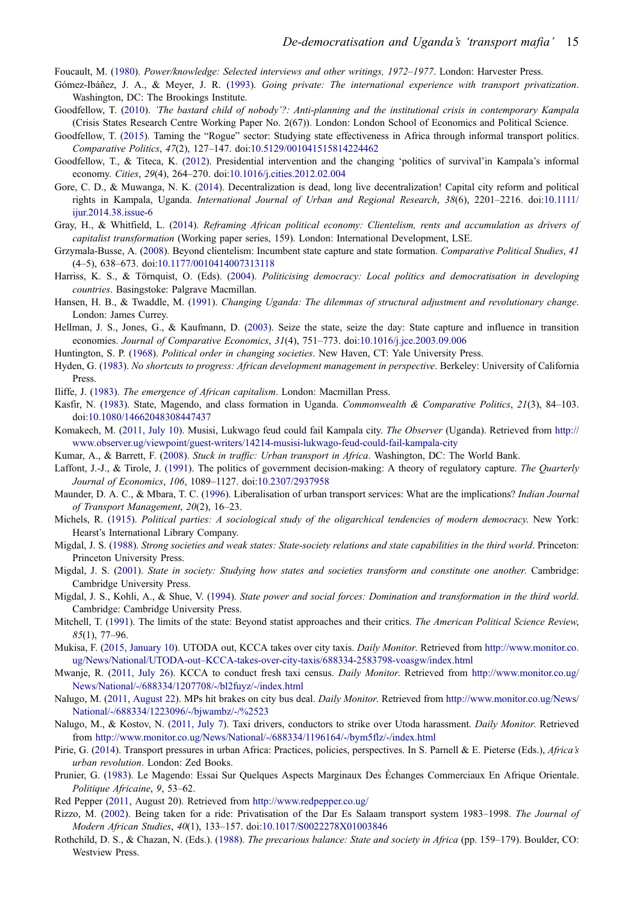<span id="page-15-0"></span>Foucault, M. ([1980\)](#page-5-0). Power/knowledge: Selected interviews and other writings, 1972–1977. London: Harvester Press.

- Gómez-Ibáñez, J. A., & Meyer, J. R. ([1993\)](#page-5-0). Going private: The international experience with transport privatization. Washington, DC: The Brookings Institute.
- Goodfellow, T. ([2010\)](#page-9-0). 'The bastard child of nobody'?: Anti-planning and the institutional crisis in contemporary Kampala (Crisis States Research Centre Working Paper No. 2(67)). London: London School of Economics and Political Science.
- Goodfellow, T. [\(2015](#page-4-0)). Taming the "Rogue" sector: Studying state effectiveness in Africa through informal transport politics. Comparative Politics, 47(2), 127–147. doi:[10.5129/001041515814224462](http://dx.doi.org/10.5129/001041515814224462)
- Goodfellow, T., & Titeca, K. ([2012](#page-6-0)). Presidential intervention and the changing 'politics of survival'in Kampala's informal economy. Cities, 29(4), 264–270. doi:[10.1016/j.cities.2012.02.004](http://dx.doi.org/10.1016/j.cities.2012.02.004)
- Gore, C. D., & Muwanga, N. K. [\(2014](#page-9-0)). Decentralization is dead, long live decentralization! Capital city reform and political rights in Kampala, Uganda. International Journal of Urban and Regional Research, 38(6), 2201–2216. doi:[10.1111/](http://dx.doi.org/10.1111/ijur.2014.38.issue-6) [ijur.2014.38.issue-6](http://dx.doi.org/10.1111/ijur.2014.38.issue-6)
- Gray, H., & Whitfield, L. [\(2014](#page-4-0)). Reframing African political economy: Clientelism, rents and accumulation as drivers of capitalist transformation (Working paper series, 159). London: International Development, LSE.
- Grzymala-Busse, A. ([2008\)](#page-4-0). Beyond clientelism: Incumbent state capture and state formation. Comparative Political Studies, 41 (4–5), 638–673. doi:[10.1177/0010414007313118](http://dx.doi.org/10.1177/0010414007313118)
- Harriss, K. S., & Törnquist, O. (Eds). [\(2004](#page-1-0)). Politicising democracy: Local politics and democratisation in developing countries. Basingstoke: Palgrave Macmillan.
- Hansen, H. B., & Twaddle, M. [\(1991\)](#page-6-0). Changing Uganda: The dilemmas of structural adjustment and revolutionary change. London: James Currey.
- Hellman, J. S., Jones, G., & Kaufmann, D. ([2003\)](#page-4-0). Seize the state, seize the day: State capture and influence in transition economies. Journal of Comparative Economics, 31(4), 751–773. doi:[10.1016/j.jce.2003.09.006](http://dx.doi.org/10.1016/j.jce.2003.09.006)
- Huntington, S. P. ([1968\)](#page-5-0). Political order in changing societies. New Haven, CT: Yale University Press.
- Hyden, G. ([1983\)](#page-4-0). No shortcuts to progress: African development management in perspective. Berkeley: University of California Press.
- Iliffe, J. ([1983\)](#page-4-0). The emergence of African capitalism. London: Macmillan Press.
- Kasfir, N. ([1983](#page-6-0)). State, Magendo, and class formation in Uganda. Commonwealth & Comparative Politics, 21(3), 84-103. doi:[10.1080/14662048308447437](http://dx.doi.org/10.1080/14662048308447437)
- Komakech, M. [\(2011, July 10](#page-7-0)). Musisi, Lukwago feud could fail Kampala city. The Observer (Uganda). Retrieved from [http://](http://www.observer.ug/viewpoint/guest-writers/14214-musisi-lukwago-feud-could-fail-kampala-city) [www.observer.ug/viewpoint/guest-writers/14214-musisi-lukwago-feud-could-fail-kampala-city](http://www.observer.ug/viewpoint/guest-writers/14214-musisi-lukwago-feud-could-fail-kampala-city)
- Kumar, A., & Barrett, F. [\(2008\)](#page-5-0). Stuck in traffic: Urban transport in Africa. Washington, DC: The World Bank.
- Laffont, J.-J., & Tirole, J. ([1991\)](#page-4-0). The politics of government decision-making: A theory of regulatory capture. The Quarterly Journal of Economics, 106, 1089–1127. doi:[10.2307/2937958](http://dx.doi.org/10.2307/2937958)
- Maunder, D. A. C., & Mbara, T. C. [\(1996](#page-6-0)). Liberalisation of urban transport services: What are the implications? Indian Journal of Transport Management, 20(2), 16–23.
- Michels, R. [\(1915](#page-4-0)). Political parties: A sociological study of the oligarchical tendencies of modern democracy. New York: Hearst's International Library Company.
- Migdal, J. S. ([1988](#page-4-0)). Strong societies and weak states: State-society relations and state capabilities in the third world. Princeton: Princeton University Press.
- Migdal, J. S. [\(2001](#page-3-0)). State in society: Studying how states and societies transform and constitute one another. Cambridge: Cambridge University Press.
- Migdal, J. S., Kohli, A., & Shue, V. ([1994\)](#page-3-0). State power and social forces: Domination and transformation in the third world. Cambridge: Cambridge University Press.
- Mitchell, T. ([1991\)](#page-3-0). The limits of the state: Beyond statist approaches and their critics. The American Political Science Review, 85(1), 77–96.
- Mukisa, F. ([2015, January 10\)](#page-10-0). UTODA out, KCCA takes over city taxis. *Daily Monitor*. Retrieved from [http://www.monitor.co.](http://www.monitor.co.ug/News/National/UTODA-out--KCCA-takes-over-city-taxis/688334-2583798-voasgw/index.html) ug/News/National/UTODA-out–[KCCA-takes-over-city-taxis/688334-2583798-voasgw/index.html](http://www.monitor.co.ug/News/National/UTODA-out--KCCA-takes-over-city-taxis/688334-2583798-voasgw/index.html)
- Mwanje, R. ([2011, July 26](#page-8-0)). KCCA to conduct fresh taxi census. Daily Monitor. Retrieved from [http://www.monitor.co.ug/](http://www.monitor.co.ug/News/National/-/688334/1207708/-/bl2fuyz/-/index.html) [News/National/-/688334/1207708/-/bl2fuyz/-/index.html](http://www.monitor.co.ug/News/National/-/688334/1207708/-/bl2fuyz/-/index.html)
- Nalugo, M. ([2011, August 22\)](#page-9-0). MPs hit brakes on city bus deal. Daily Monitor. Retrieved from [http://www.monitor.co.ug/News/](http://www.monitor.co.ug/News/National/-/688334/1223096/-/bjwambz/-/%2523) [National/-/688334/1223096/-/bjwambz/-/%2523](http://www.monitor.co.ug/News/National/-/688334/1223096/-/bjwambz/-/%2523)
- Nalugo, M., & Kostov, N. [\(2011, July 7\)](#page-10-0). Taxi drivers, conductors to strike over Utoda harassment. Daily Monitor. Retrieved from <http://www.monitor.co.ug/News/National/-/688334/1196164/-/bym5flz/-/index.html>
- Pirie, G. ([2014\)](#page-5-0). Transport pressures in urban Africa: Practices, policies, perspectives. In S. Parnell & E. Pieterse (Eds.), Africa's urban revolution. London: Zed Books.
- Prunier, G. ([1983](#page-6-0)). Le Magendo: Essai Sur Quelques Aspects Marginaux Des Échanges Commerciaux En Afrique Orientale. Politique Africaine, 9, 53–62.
- Red Pepper ([2011,](#page-6-0) August 20). Retrieved from <http://www.redpepper.co.ug/>
- Rizzo, M. [\(2002](#page-6-0)). Being taken for a ride: Privatisation of the Dar Es Salaam transport system 1983-1998. The Journal of Modern African Studies, 40(1), 133–157. doi:[10.1017/S0022278X01003846](http://dx.doi.org/10.1017/S0022278X01003846)
- Rothchild, D. S., & Chazan, N. (Eds.). [\(1988](#page-4-0)). The precarious balance: State and society in Africa (pp. 159–179). Boulder, CO: Westview Press.